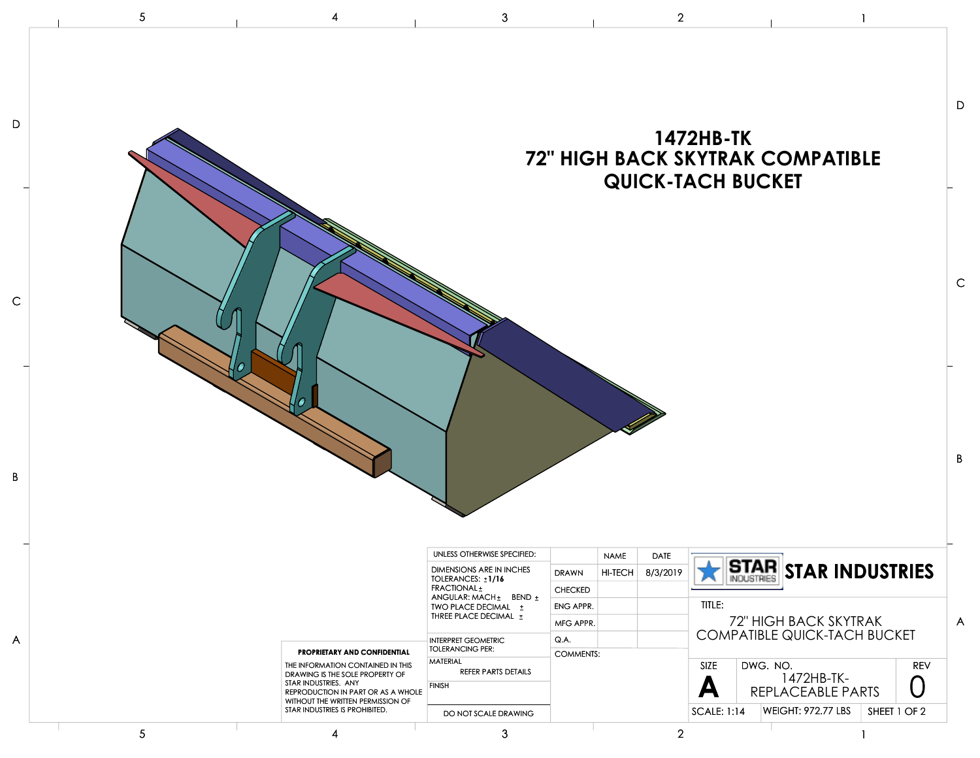|   | 5               |                                                                                              | 3                                                          |                  |                        | $\overline{2}$          |                                              |          |                                         |              |            |                |
|---|-----------------|----------------------------------------------------------------------------------------------|------------------------------------------------------------|------------------|------------------------|-------------------------|----------------------------------------------|----------|-----------------------------------------|--------------|------------|----------------|
|   |                 |                                                                                              |                                                            |                  |                        |                         | <b>1472HB-TK</b><br><b>QUICK-TACH BUCKET</b> |          | <b>72" HIGH BACK SKYTRAK COMPATIBLE</b> |              |            | D              |
|   |                 |                                                                                              |                                                            |                  |                        |                         |                                              |          |                                         |              |            | $\mathsf C$    |
|   |                 |                                                                                              |                                                            |                  |                        |                         |                                              |          |                                         |              |            | $\mathsf B$    |
|   |                 |                                                                                              | UNLESS OTHERWISE SPECIFIED:                                |                  |                        |                         |                                              |          |                                         |              |            |                |
|   |                 |                                                                                              | DIMENSIONS ARE IN INCHES                                   | <b>DRAWN</b>     | <b>NAME</b><br>HI-TECH | <b>DATE</b><br>8/3/2019 |                                              |          | STAR STAR INDUSTRIES                    |              |            |                |
|   |                 |                                                                                              | TOLERANCES: ±1/16<br>FRACTIONAL <sup>+</sup>               | <b>CHECKED</b>   |                        |                         |                                              |          |                                         |              |            |                |
|   |                 |                                                                                              | ANGULAR: MACH ± BEND ±<br>ENG APPR.<br>TWO PLACE DECIMAL ± |                  |                        |                         | TITLE:                                       |          |                                         |              |            |                |
|   |                 |                                                                                              | THREE PLACE DECIMAL ±                                      | MFG APPR.        |                        |                         |                                              |          | 72" HIGH BACK SKYTRAK                   |              |            | $\overline{A}$ |
| A |                 |                                                                                              | <b>INTERPRET GEOMETRIC</b>                                 | Q.A.             |                        |                         |                                              |          | <b>COMPATIBLE QUICK-TACH BUCKET</b>     |              |            |                |
|   |                 | PROPRIETARY AND CONFIDENTIAL                                                                 | <b>TOLERANCING PER:</b>                                    | <b>COMMENTS:</b> |                        |                         |                                              |          |                                         |              |            |                |
|   |                 | THE INFORMATION CONTAINED IN THIS<br>DRAWING IS THE SOLE PROPERTY OF<br>STAR INDUSTRIES. ANY | MATERIAL<br>REFER PARTS DETAILS<br><b>FINISH</b>           |                  |                        |                         | SIZE<br>A                                    | DWG. NO. | 1472HB-TK-                              |              | <b>REV</b> |                |
|   |                 | REPRODUCTION IN PART OR AS A WHOLE<br>WITHOUT THE WRITTEN PERMISSION OF                      |                                                            |                  |                        |                         |                                              |          | REPLACEABLE PARTS                       |              |            |                |
|   |                 | STAR INDUSTRIES IS PROHIBITED.                                                               | DO NOT SCALE DRAWING                                       |                  |                        |                         | <b>SCALE: 1:14</b>                           |          | <b>WEIGHT: 972.77 LBS</b>               | SHEET 1 OF 2 |            |                |
|   | $5\phantom{.0}$ | 4                                                                                            | 3                                                          |                  |                        | $\overline{2}$          |                                              |          | $\mathbf{1}$                            |              |            |                |